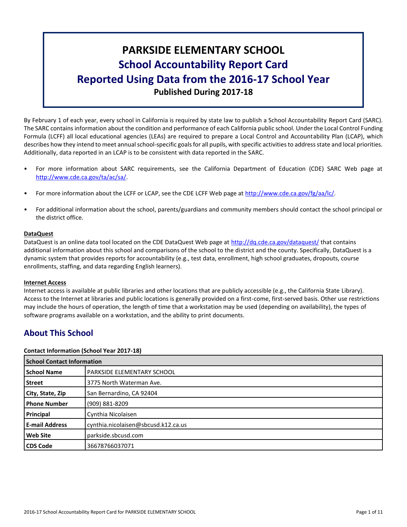# **PARKSIDE ELEMENTARY SCHOOL School Accountability Report Card Reported Using Data from the 2016-17 School Year Published During 2017-18**

By February 1 of each year, every school in California is required by state law to publish a School Accountability Report Card (SARC). The SARC contains information about the condition and performance of each California public school. Under the Local Control Funding Formula (LCFF) all local educational agencies (LEAs) are required to prepare a Local Control and Accountability Plan (LCAP), which describes how they intend to meet annual school-specific goals for all pupils, with specific activities to address state and local priorities. Additionally, data reported in an LCAP is to be consistent with data reported in the SARC.

- For more information about SARC requirements, see the California Department of Education (CDE) SARC Web page at [http://www.cde.ca.gov/ta/ac/sa/.](http://www.cde.ca.gov/ta/ac/sa/)
- For more information about the LCFF or LCAP, see the CDE LCFF Web page at [http://www.cde.ca.gov/fg/aa/lc/.](http://www.cde.ca.gov/fg/aa/lc/)
- For additional information about the school, parents/guardians and community members should contact the school principal or the district office.

#### **DataQuest**

DataQuest is an online data tool located on the CDE DataQuest Web page at<http://dq.cde.ca.gov/dataquest/> that contains additional information about this school and comparisons of the school to the district and the county. Specifically, DataQuest is a dynamic system that provides reports for accountability (e.g., test data, enrollment, high school graduates, dropouts, course enrollments, staffing, and data regarding English learners).

#### **Internet Access**

Internet access is available at public libraries and other locations that are publicly accessible (e.g., the California State Library). Access to the Internet at libraries and public locations is generally provided on a first-come, first-served basis. Other use restrictions may include the hours of operation, the length of time that a workstation may be used (depending on availability), the types of software programs available on a workstation, and the ability to print documents.

# **About This School**

#### **Contact Information (School Year 2017-18)**

| <b>School Contact Information</b> |                                     |  |  |  |
|-----------------------------------|-------------------------------------|--|--|--|
| <b>School Name</b>                | <b>PARKSIDE ELEMENTARY SCHOOL</b>   |  |  |  |
| Street                            | 3775 North Waterman Ave.            |  |  |  |
| City, State, Zip                  | San Bernardino, CA 92404            |  |  |  |
| <b>Phone Number</b>               | (909) 881-8209                      |  |  |  |
| Principal                         | Cynthia Nicolaisen                  |  |  |  |
| <b>E-mail Address</b>             | cynthia.nicolaisen@sbcusd.k12.ca.us |  |  |  |
| <b>Web Site</b>                   | parkside.sbcusd.com                 |  |  |  |
| <b>CDS Code</b>                   | 36678766037071                      |  |  |  |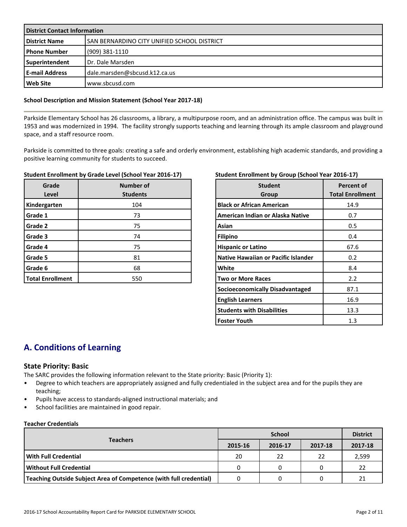| <b>District Contact Information</b> |                                             |  |  |  |
|-------------------------------------|---------------------------------------------|--|--|--|
| <b>District Name</b>                | SAN BERNARDINO CITY UNIFIED SCHOOL DISTRICT |  |  |  |
| l Phone Number                      | $(909)$ 381-1110                            |  |  |  |
| Superintendent                      | Dr. Dale Marsden                            |  |  |  |
| <b>E-mail Address</b>               | dale.marsden@sbcusd.k12.ca.us               |  |  |  |
| Web Site                            | www.sbcusd.com                              |  |  |  |

#### **School Description and Mission Statement (School Year 2017-18)**

Parkside Elementary School has 26 classrooms, a library, a multipurpose room, and an administration office. The campus was built in 1953 and was modernized in 1994. The facility strongly supports teaching and learning through its ample classroom and playground space, and a staff resource room.

Parkside is committed to three goals: creating a safe and orderly environment, establishing high academic standards, and providing a positive learning community for students to succeed.

#### **Student Enrollment by Grade Level (School Year 2016-17)**

| Grade<br>Level          | <b>Number of</b><br><b>Students</b> |
|-------------------------|-------------------------------------|
| Kindergarten            | 104                                 |
| Grade 1                 | 73                                  |
| Grade 2                 | 75                                  |
| Grade 3                 | 74                                  |
| Grade 4                 | 75                                  |
| Grade 5                 | 81                                  |
| Grade 6                 | 68                                  |
| <b>Total Enrollment</b> | 550                                 |

#### **Student Enrollment by Group (School Year 2016-17)**

| <b>Student</b><br>Group                    | Percent of<br><b>Total Enrollment</b> |
|--------------------------------------------|---------------------------------------|
| <b>Black or African American</b>           | 14.9                                  |
| American Indian or Alaska Native           | 0.7                                   |
| Asian                                      | 0.5                                   |
| <b>Filipino</b>                            | 0.4                                   |
| <b>Hispanic or Latino</b>                  | 67.6                                  |
| <b>Native Hawaiian or Pacific Islander</b> | 0.2                                   |
| White                                      | 8.4                                   |
| <b>Two or More Races</b>                   | 2.2                                   |
| Socioeconomically Disadvantaged            | 87.1                                  |
| <b>English Learners</b>                    | 16.9                                  |
| <b>Students with Disabilities</b>          | 13.3                                  |
| <b>Foster Youth</b>                        | 1.3                                   |

# **A. Conditions of Learning**

#### **State Priority: Basic**

The SARC provides the following information relevant to the State priority: Basic (Priority 1):

- Degree to which teachers are appropriately assigned and fully credentialed in the subject area and for the pupils they are teaching;
- Pupils have access to standards-aligned instructional materials; and
- School facilities are maintained in good repair.

#### **Teacher Credentials**

|                                                                    |         | <b>District</b> |         |         |
|--------------------------------------------------------------------|---------|-----------------|---------|---------|
| <b>Teachers</b>                                                    | 2015-16 | 2016-17         | 2017-18 | 2017-18 |
| With Full Credential                                               | 20      | 22              | 22      | 2,599   |
| Without Full Credential                                            | 0       |                 |         | -22     |
| Teaching Outside Subject Area of Competence (with full credential) |         |                 |         | 21      |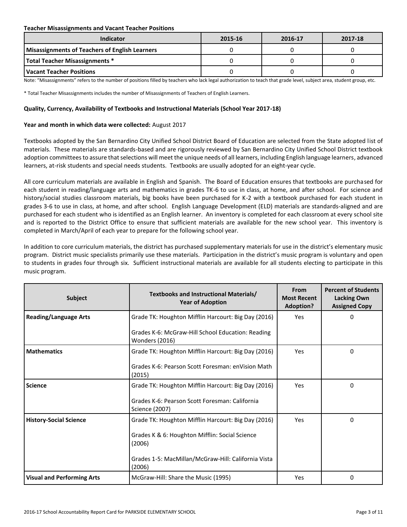#### **Teacher Misassignments and Vacant Teacher Positions**

| Indicator                                             | 2015-16 | 2016-17 | 2017-18 |
|-------------------------------------------------------|---------|---------|---------|
| <b>Misassignments of Teachers of English Learners</b> |         |         |         |
| <b>Total Teacher Misassignments *</b>                 |         |         |         |
| l Vacant Teacher Positions                            |         |         |         |

Note: "Misassignments" refers to the number of positions filled by teachers who lack legal authorization to teach that grade level, subject area, student group, etc.

\* Total Teacher Misassignments includes the number of Misassignments of Teachers of English Learners.

#### **Quality, Currency, Availability of Textbooks and Instructional Materials (School Year 2017-18)**

#### **Year and month in which data were collected:** August 2017

Textbooks adopted by the San Bernardino City Unified School District Board of Education are selected from the State adopted list of materials. These materials are standards-based and are rigorously reviewed by San Bernardino City Unified School District textbook adoption committees to assure that selections will meet the unique needs of all learners, including English language learners, advanced learners, at-risk students and special needs students. Textbooks are usually adopted for an eight-year cycle.

All core curriculum materials are available in English and Spanish. The Board of Education ensures that textbooks are purchased for each student in reading/language arts and mathematics in grades TK-6 to use in class, at home, and after school. For science and history/social studies classroom materials, big books have been purchased for K-2 with a textbook purchased for each student in grades 3-6 to use in class, at home, and after school. English Language Development (ELD) materials are standards-aligned and are purchased for each student who is identified as an English learner. An inventory is completed for each classroom at every school site and is reported to the District Office to ensure that sufficient materials are available for the new school year. This inventory is completed in March/April of each year to prepare for the following school year.

In addition to core curriculum materials, the district has purchased supplementary materials for use in the district's elementary music program. District music specialists primarily use these materials. Participation in the district's music program is voluntary and open to students in grades four through six. Sufficient instructional materials are available for all students electing to participate in this music program.

| <b>Subject</b>                    | Textbooks and Instructional Materials/<br><b>Year of Adoption</b>       | From<br><b>Most Recent</b><br><b>Adoption?</b> | <b>Percent of Students</b><br><b>Lacking Own</b><br><b>Assigned Copy</b> |
|-----------------------------------|-------------------------------------------------------------------------|------------------------------------------------|--------------------------------------------------------------------------|
| <b>Reading/Language Arts</b>      | Grade TK: Houghton Mifflin Harcourt: Big Day (2016)                     | <b>Yes</b>                                     | 0                                                                        |
|                                   | Grades K-6: McGraw-Hill School Education: Reading<br>Wonders (2016)     |                                                |                                                                          |
| <b>Mathematics</b>                | Grade TK: Houghton Mifflin Harcourt: Big Day (2016)                     | Yes                                            | 0                                                                        |
|                                   | Grades K-6: Pearson Scott Foresman: enVision Math<br>(2015)             |                                                |                                                                          |
| <b>Science</b>                    | Grade TK: Houghton Mifflin Harcourt: Big Day (2016)                     | <b>Yes</b>                                     | 0                                                                        |
|                                   | Grades K-6: Pearson Scott Foresman: California<br><b>Science (2007)</b> |                                                |                                                                          |
| <b>History-Social Science</b>     | Grade TK: Houghton Mifflin Harcourt: Big Day (2016)                     | Yes                                            | 0                                                                        |
|                                   | Grades K & 6: Houghton Mifflin: Social Science<br>(2006)                |                                                |                                                                          |
|                                   | Grades 1-5: MacMillan/McGraw-Hill: California Vista<br>(2006)           |                                                |                                                                          |
| <b>Visual and Performing Arts</b> | McGraw-Hill: Share the Music (1995)                                     | Yes                                            | 0                                                                        |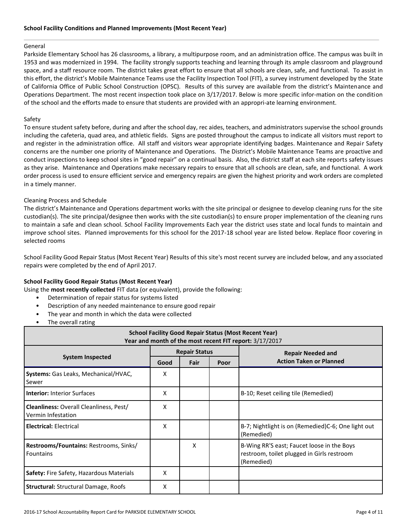#### General

Parkside Elementary School has 26 classrooms, a library, a multipurpose room, and an administration office. The campus was built in 1953 and was modernized in 1994. The facility strongly supports teaching and learning through its ample classroom and playground space, and a staff resource room. The district takes great effort to ensure that all schools are clean, safe, and functional. To assist in this effort, the district's Mobile Maintenance Teams use the Facility Inspection Tool (FIT), a survey instrument developed by the State of California Office of Public School Construction (OPSC). Results of this survey are available from the district's Maintenance and Operations Department. The most recent inspection took place on 3/17/2017. Below is more specific infor-mation on the condition of the school and the efforts made to ensure that students are provided with an appropri-ate learning environment.

#### Safety

To ensure student safety before, during and after the school day, rec aides, teachers, and administrators supervise the school grounds including the cafeteria, quad area, and athletic fields. Signs are posted throughout the campus to indicate all visitors must report to and register in the administration office. All staff and visitors wear appropriate identifying badges. Maintenance and Repair Safety concerns are the number one priority of Maintenance and Operations. The District's Mobile Maintenance Teams are proactive and conduct inspections to keep school sites in "good repair" on a continual basis. Also, the district staff at each site reports safety issues as they arise. Maintenance and Operations make necessary repairs to ensure that all schools are clean, safe, and functional. A work order process is used to ensure efficient service and emergency repairs are given the highest priority and work orders are completed in a timely manner.

#### Cleaning Process and Schedule

The district's Maintenance and Operations department works with the site principal or designee to develop cleaning runs for the site custodian(s). The site principal/designee then works with the site custodian(s) to ensure proper implementation of the cleaning runs to maintain a safe and clean school. School Facility Improvements Each year the district uses state and local funds to maintain and improve school sites. Planned improvements for this school for the 2017-18 school year are listed below. Replace floor covering in selected rooms

School Facility Good Repair Status (Most Recent Year) Results of this site's most recent survey are included below, and any associated repairs were completed by the end of April 2017.

#### **School Facility Good Repair Status (Most Recent Year)**

Using the **most recently collected** FIT data (or equivalent), provide the following:

- Determination of repair status for systems listed
- Description of any needed maintenance to ensure good repair
- The year and month in which the data were collected
- The overall rating

| <b>School Facility Good Repair Status (Most Recent Year)</b><br>Year and month of the most recent FIT report: 3/17/2017 |      |                      |  |                                                                                                        |  |  |
|-------------------------------------------------------------------------------------------------------------------------|------|----------------------|--|--------------------------------------------------------------------------------------------------------|--|--|
|                                                                                                                         |      | <b>Repair Status</b> |  | <b>Repair Needed and</b>                                                                               |  |  |
| <b>System Inspected</b>                                                                                                 | Good | Fair<br>Poor         |  | <b>Action Taken or Planned</b>                                                                         |  |  |
| Systems: Gas Leaks, Mechanical/HVAC,<br>Sewer                                                                           | X    |                      |  |                                                                                                        |  |  |
| <b>Interior: Interior Surfaces</b>                                                                                      | X    |                      |  | B-10; Reset ceiling tile (Remedied)                                                                    |  |  |
| <b>Cleanliness: Overall Cleanliness, Pest/</b><br>Vermin Infestation                                                    | X    |                      |  |                                                                                                        |  |  |
| <b>Electrical: Electrical</b>                                                                                           | X    |                      |  | B-7; Nightlight is on (Remedied)C-6; One light out<br>(Remedied)                                       |  |  |
| Restrooms/Fountains: Restrooms, Sinks/<br><b>Fountains</b>                                                              |      | x                    |  | B-Wing RR'S east; Faucet loose in the Boys<br>restroom, toilet plugged in Girls restroom<br>(Remedied) |  |  |
| <b>Safety: Fire Safety, Hazardous Materials</b>                                                                         | X    |                      |  |                                                                                                        |  |  |
| <b>Structural: Structural Damage, Roofs</b>                                                                             | X    |                      |  |                                                                                                        |  |  |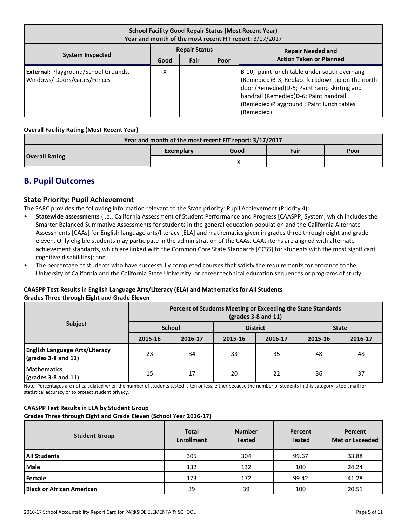| <b>School Facility Good Repair Status (Most Recent Year)</b><br>Year and month of the most recent FIT report: 3/17/2017 |                      |      |      |                                                                                                                                                                                                                                                       |  |  |  |
|-------------------------------------------------------------------------------------------------------------------------|----------------------|------|------|-------------------------------------------------------------------------------------------------------------------------------------------------------------------------------------------------------------------------------------------------------|--|--|--|
|                                                                                                                         | <b>Repair Status</b> |      |      | <b>Repair Needed and</b>                                                                                                                                                                                                                              |  |  |  |
| <b>System Inspected</b>                                                                                                 | Good                 | Fair | Poor | <b>Action Taken or Planned</b>                                                                                                                                                                                                                        |  |  |  |
| <b>External: Playground/School Grounds,</b><br>Windows/Doors/Gates/Fences                                               | Χ                    |      |      | B-10; paint lunch table under south overhang<br>(Remedied) B-3; Replace kickdown tip on the north<br>door (Remedied)D-5; Paint ramp skirting and<br>handrail (Remedied)D-6; Paint handrail<br>(Remedied) Playground; Paint lunch tables<br>(Remedied) |  |  |  |

#### **Overall Facility Rating (Most Recent Year)**

| Year and month of the most recent FIT report: 3/17/2017 |           |      |      |      |  |  |  |
|---------------------------------------------------------|-----------|------|------|------|--|--|--|
|                                                         | Exemplary | Good | Fair | Poor |  |  |  |
| <b>Overall Rating</b>                                   |           |      |      |      |  |  |  |

### **B. Pupil Outcomes**

#### **State Priority: Pupil Achievement**

The SARC provides the following information relevant to the State priority: Pupil Achievement (Priority 4):

- **Statewide assessments** (i.e., California Assessment of Student Performance and Progress [CAASPP] System, which includes the Smarter Balanced Summative Assessments for students in the general education population and the California Alternate Assessments [CAAs] for English language arts/literacy [ELA] and mathematics given in grades three through eight and grade eleven. Only eligible students may participate in the administration of the CAAs. CAAs items are aligned with alternate achievement standards, which are linked with the Common Core State Standards [CCSS] for students with the most significant cognitive disabilities); and
- The percentage of students who have successfully completed courses that satisfy the requirements for entrance to the University of California and the California State University, or career technical education sequences or programs of study.

#### **CAASPP Test Results in English Language Arts/Literacy (ELA) and Mathematics for All Students Grades Three through Eight and Grade Eleven**

|                                                                      | Percent of Students Meeting or Exceeding the State Standards<br>$\left(\text{grades }3 - 8 \text{ and } 11\right)$ |               |         |                 |              |         |  |
|----------------------------------------------------------------------|--------------------------------------------------------------------------------------------------------------------|---------------|---------|-----------------|--------------|---------|--|
| <b>Subject</b>                                                       |                                                                                                                    | <b>School</b> |         | <b>District</b> | <b>State</b> |         |  |
|                                                                      | 2015-16                                                                                                            | 2016-17       | 2015-16 | 2016-17         | 2015-16      | 2016-17 |  |
| <b>English Language Arts/Literacy</b><br>$\sqrt{grades}$ 3-8 and 11) | 23                                                                                                                 | 34            | 33      | 35              | 48           | 48      |  |
| <b>Mathematics</b><br>$\sqrt{\frac{1}{2}}$ (grades 3-8 and 11)       | 15                                                                                                                 | 17            | 20      | 22              | 36           | 37      |  |

Note: Percentages are not calculated when the number of students tested is ten or less, either because the number of students in this category is too small for statistical accuracy or to protect student privacy.

#### **CAASPP Test Results in ELA by Student Group**

**Grades Three through Eight and Grade Eleven (School Year 2016-17)**

| <b>Student Group</b>             | <b>Total</b><br><b>Enrollment</b> | <b>Number</b><br><b>Tested</b> | Percent<br><b>Tested</b> | Percent<br><b>Met or Exceeded</b> |
|----------------------------------|-----------------------------------|--------------------------------|--------------------------|-----------------------------------|
| <b>All Students</b>              | 305                               | 304                            | 99.67                    | 33.88                             |
| <b>Male</b>                      | 132                               | 132                            | 100                      | 24.24                             |
| Female                           | 173                               | 172                            | 99.42                    | 41.28                             |
| <b>Black or African American</b> | 39                                | 39                             | 100                      | 20.51                             |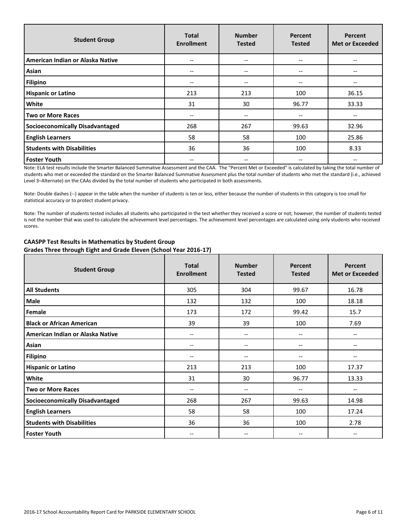| <b>Student Group</b>              | <b>Total</b><br><b>Enrollment</b> | <b>Number</b><br><b>Tested</b> | Percent<br><b>Tested</b> | <b>Percent</b><br><b>Met or Exceeded</b> |
|-----------------------------------|-----------------------------------|--------------------------------|--------------------------|------------------------------------------|
| American Indian or Alaska Native  | $\overline{\phantom{m}}$          | --                             | $- -$                    |                                          |
| Asian                             | $- -$                             | --                             | $- -$                    |                                          |
| <b>Filipino</b>                   | $-$                               | --                             | $- -$                    | --                                       |
| <b>Hispanic or Latino</b>         | 213                               | 213                            | 100                      | 36.15                                    |
| <b>White</b>                      | 31                                | 30                             | 96.77                    | 33.33                                    |
| Two or More Races                 | $- -$                             | --                             | --                       |                                          |
| Socioeconomically Disadvantaged   | 268                               | 267                            | 99.63                    | 32.96                                    |
| <b>English Learners</b>           | 58                                | 58                             | 100                      | 25.86                                    |
| <b>Students with Disabilities</b> | 36                                | 36                             | 100                      | 8.33                                     |
| <b>Foster Youth</b>               | $- -$                             | --                             | --                       |                                          |

Note: ELA test results include the Smarter Balanced Summative Assessment and the CAA. The "Percent Met or Exceeded" is calculated by taking the total number of students who met or exceeded the standard on the Smarter Balanced Summative Assessment plus the total number of students who met the standard (i.e., achieved Level 3–Alternate) on the CAAs divided by the total number of students who participated in both assessments.

Note: Double dashes (--) appear in the table when the number of students is ten or less, either because the number of students in this category is too small for statistical accuracy or to protect student privacy.

Note: The number of students tested includes all students who participated in the test whether they received a score or not; however, the number of students tested is not the number that was used to calculate the achievement level percentages. The achievement level percentages are calculated using only students who received scores.

| <b>Student Group</b>                   | <b>Total</b><br><b>Enrollment</b> | <b>Number</b><br><b>Tested</b> | Percent<br><b>Tested</b>              | Percent<br><b>Met or Exceeded</b> |
|----------------------------------------|-----------------------------------|--------------------------------|---------------------------------------|-----------------------------------|
| <b>All Students</b>                    | 305                               | 304                            | 99.67                                 | 16.78                             |
| Male                                   | 132                               | 132                            | 100                                   | 18.18                             |
| Female                                 | 173                               | 172                            | 99.42                                 | 15.7                              |
| <b>Black or African American</b>       | 39                                | 39                             | 100                                   | 7.69                              |
| American Indian or Alaska Native       | --                                | $\overline{\phantom{a}}$       | $-$                                   | $- -$                             |
| Asian                                  | --                                | --                             | --                                    | --                                |
| <b>Filipino</b>                        | --                                | --                             | --                                    | --                                |
| <b>Hispanic or Latino</b>              | 213                               | 213                            | 100                                   | 17.37                             |
| White                                  | 31                                | 30                             | 96.77                                 | 13.33                             |
| <b>Two or More Races</b>               | $\overline{\phantom{a}}$          | $\qquad \qquad -$              | --                                    | $\overline{\phantom{m}}$          |
| <b>Socioeconomically Disadvantaged</b> | 268                               | 267                            | 99.63                                 | 14.98                             |
| <b>English Learners</b>                | 58                                | 58                             | 100                                   | 17.24                             |
| <b>Students with Disabilities</b>      | 36                                | 36                             | 100                                   | 2.78                              |
| <b>Foster Youth</b>                    | --                                | --                             | $\hspace{0.05cm}$ – $\hspace{0.05cm}$ | --                                |

#### **CAASPP Test Results in Mathematics by Student Group Grades Three through Eight and Grade Eleven (School Year 2016-17)**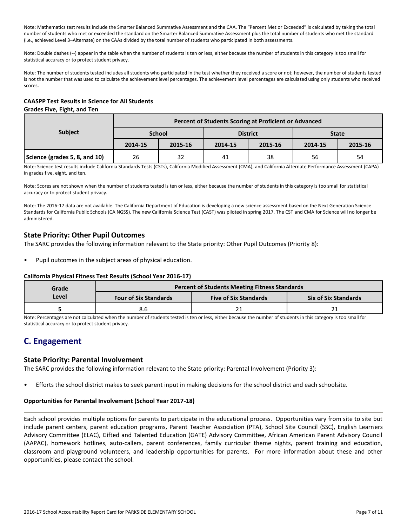Note: Mathematics test results include the Smarter Balanced Summative Assessment and the CAA. The "Percent Met or Exceeded" is calculated by taking the total number of students who met or exceeded the standard on the Smarter Balanced Summative Assessment plus the total number of students who met the standard (i.e., achieved Level 3–Alternate) on the CAAs divided by the total number of students who participated in both assessments.

Note: Double dashes (--) appear in the table when the number of students is ten or less, either because the number of students in this category is too small for statistical accuracy or to protect student privacy.

Note: The number of students tested includes all students who participated in the test whether they received a score or not; however, the number of students tested is not the number that was used to calculate the achievement level percentages. The achievement level percentages are calculated using only students who received scores.

#### **CAASPP Test Results in Science for All Students Grades Five, Eight, and Ten**

|                               | Percent of Students Scoring at Proficient or Advanced |               |         |                 |              |         |  |  |
|-------------------------------|-------------------------------------------------------|---------------|---------|-----------------|--------------|---------|--|--|
| <b>Subject</b>                |                                                       | <b>School</b> |         | <b>District</b> | <b>State</b> |         |  |  |
|                               | 2014-15                                               | 2015-16       | 2014-15 | 2015-16         | 2014-15      | 2015-16 |  |  |
| Science (grades 5, 8, and 10) | 26                                                    | 32            | 41      | 38              | 56           | 54      |  |  |

Note: Science test results include California Standards Tests (CSTs), California Modified Assessment (CMA), and California Alternate Performance Assessment (CAPA) in grades five, eight, and ten.

Note: Scores are not shown when the number of students tested is ten or less, either because the number of students in this category is too small for statistical accuracy or to protect student privacy.

Note: The 2016-17 data are not available. The California Department of Education is developing a new science assessment based on the Next Generation Science Standards for California Public Schools (CA NGSS). The new California Science Test (CAST) was piloted in spring 2017. The CST and CMA for Science will no longer be administered.

### **State Priority: Other Pupil Outcomes**

The SARC provides the following information relevant to the State priority: Other Pupil Outcomes (Priority 8):

Pupil outcomes in the subject areas of physical education.

#### **California Physical Fitness Test Results (School Year 2016-17)**

| Grade | <b>Percent of Students Meeting Fitness Standards</b> |                              |  |  |  |  |  |
|-------|------------------------------------------------------|------------------------------|--|--|--|--|--|
| Level | <b>Four of Six Standards</b>                         | <b>Five of Six Standards</b> |  |  |  |  |  |
|       |                                                      |                              |  |  |  |  |  |

Note: Percentages are not calculated when the number of students tested is ten or less, either because the number of students in this category is too small for statistical accuracy or to protect student privacy.

# **C. Engagement**

### **State Priority: Parental Involvement**

The SARC provides the following information relevant to the State priority: Parental Involvement (Priority 3):

• Efforts the school district makes to seek parent input in making decisions for the school district and each schoolsite.

#### **Opportunities for Parental Involvement (School Year 2017-18)**

Each school provides multiple options for parents to participate in the educational process. Opportunities vary from site to site but include parent centers, parent education programs, Parent Teacher Association (PTA), School Site Council (SSC), English Learners Advisory Committee (ELAC), Gifted and Talented Education (GATE) Advisory Committee, African American Parent Advisory Council (AAPAC), homework hotlines, auto-callers, parent conferences, family curricular theme nights, parent training and education, classroom and playground volunteers, and leadership opportunities for parents. For more information about these and other opportunities, please contact the school.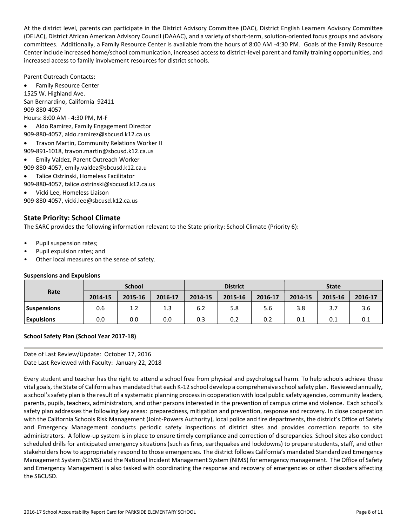At the district level, parents can participate in the District Advisory Committee (DAC), District English Learners Advisory Committee (DELAC), District African American Advisory Council (DAAAC), and a variety of short-term, solution-oriented focus groups and advisory committees. Additionally, a Family Resource Center is available from the hours of 8:00 AM -4:30 PM. Goals of the Family Resource Center include increased home/school communication, increased access to district-level parent and family training opportunities, and increased access to family involvement resources for district schools.

Parent Outreach Contacts:

 Family Resource Center 1525 W. Highland Ave. San Bernardino, California 92411 909-880-4057 Hours: 8:00 AM - 4:30 PM, M-F

- Aldo Ramirez, Family Engagement Director 909-880-4057, aldo.ramirez@sbcusd.k12.ca.us
- Travon Martin, Community Relations Worker II
- 909-891-1018, travon.martin@sbcusd.k12.ca.us
- Emily Valdez, Parent Outreach Worker
- 909-880-4057, emily.valdez@sbcusd.k12.ca.u
- Talice Ostrinski, Homeless Facilitator
- 909-880-4057, talice.ostrinski@sbcusd.k12.ca.us
- Vicki Lee, Homeless Liaison

909-880-4057, vicki.lee@sbcusd.k12.ca.us

### **State Priority: School Climate**

The SARC provides the following information relevant to the State priority: School Climate (Priority 6):

- Pupil suspension rates;
- Pupil expulsion rates; and
- Other local measures on the sense of safety.

#### **Suspensions and Expulsions**

|                    | <b>School</b> |         |         | <b>District</b> |         |         | <b>State</b> |         |         |
|--------------------|---------------|---------|---------|-----------------|---------|---------|--------------|---------|---------|
| Rate               | 2014-15       | 2015-16 | 2016-17 | 2014-15         | 2015-16 | 2016-17 | 2014-15      | 2015-16 | 2016-17 |
| <b>Suspensions</b> | 0.6           | 1.2     | 1.3     | 6.2             | 5.8     | 5.6     | 3.8          | 3.7     | 3.6     |
| <b>Expulsions</b>  | 0.0           | 0.0     | 0.0     | 0.3             | 0.2     | 0.2     | 0.1          | 0.1     | 0.1     |

#### **School Safety Plan (School Year 2017-18)**

Date of Last Review/Update: October 17, 2016 Date Last Reviewed with Faculty: January 22, 2018

Every student and teacher has the right to attend a school free from physical and psychological harm. To help schools achieve these vital goals, the State of California has mandated that each K-12 school develop a comprehensive school safety plan. Reviewed annually, a school's safety plan is the result of a systematic planning process in cooperation with local public safety agencies, community leaders, parents, pupils, teachers, administrators, and other persons interested in the prevention of campus crime and violence. Each school's safety plan addresses the following key areas: preparedness, mitigation and prevention, response and recovery. In close cooperation with the California Schools Risk Management (Joint-Powers Authority), local police and fire departments, the district's Office of Safety and Emergency Management conducts periodic safety inspections of district sites and provides correction reports to site administrators. A follow-up system is in place to ensure timely compliance and correction of discrepancies. School sites also conduct scheduled drills for anticipated emergency situations (such as fires, earthquakes and lockdowns) to prepare students, staff, and other stakeholders how to appropriately respond to those emergencies. The district follows California's mandated Standardized Emergency Management System (SEMS) and the National Incident Management System (NIMS) for emergency management. The Office of Safety and Emergency Management is also tasked with coordinating the response and recovery of emergencies or other disasters affecting the SBCUSD.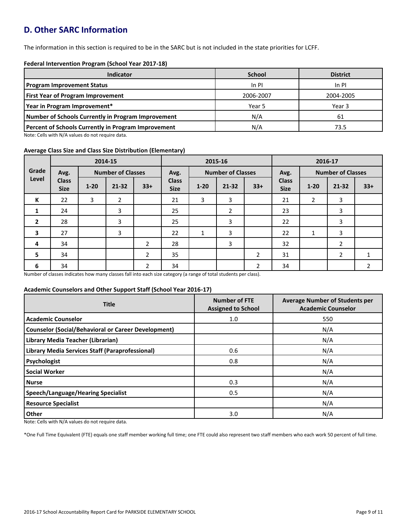# **D. Other SARC Information**

The information in this section is required to be in the SARC but is not included in the state priorities for LCFF.

#### **Federal Intervention Program (School Year 2017-18)**

| Indicator                                                  | <b>School</b> | <b>District</b> |
|------------------------------------------------------------|---------------|-----------------|
| <b>Program Improvement Status</b>                          | In PI         | $In$ PI         |
| <b>First Year of Program Improvement</b>                   | 2006-2007     | 2004-2005       |
| Year in Program Improvement*                               | Year 5        | Year 3          |
| Number of Schools Currently in Program Improvement         | N/A           | 61              |
| <b>Percent of Schools Currently in Program Improvement</b> | N/A           | 73.5            |

Note: Cells with N/A values do not require data.

#### **Average Class Size and Class Size Distribution (Elementary)**

|              |                             | 2014-15  |                          |                | 2015-16                     |          |                          |                | 2016-17                     |                |                          |                |
|--------------|-----------------------------|----------|--------------------------|----------------|-----------------------------|----------|--------------------------|----------------|-----------------------------|----------------|--------------------------|----------------|
| Grade        | Avg.                        |          | <b>Number of Classes</b> |                | Avg.                        |          | <b>Number of Classes</b> |                | Avg.                        |                | <b>Number of Classes</b> |                |
| Level        | <b>Class</b><br><b>Size</b> | $1 - 20$ | $21 - 32$                | $33+$          | <b>Class</b><br><b>Size</b> | $1 - 20$ | $21 - 32$                | $33+$          | <b>Class</b><br><b>Size</b> | $1 - 20$       | $21 - 32$                | $33+$          |
| K            | 22                          | 3        | $\overline{2}$           |                | 21                          | 3        | 3                        |                | 21                          | $\overline{2}$ | 3                        |                |
| 1            | 24                          |          | 3                        |                | 25                          |          | $\overline{2}$           |                | 23                          |                | 3                        |                |
| $\mathbf{2}$ | 28                          |          | 3                        |                | 25                          |          | 3                        |                | 22                          |                | 3                        |                |
| 3            | 27                          |          | 3                        |                | 22                          | 1        | 3                        |                | 22                          | 1              | 3                        |                |
| 4            | 34                          |          |                          | $\overline{2}$ | 28                          |          | 3                        |                | 32                          |                | 2                        |                |
| 5            | 34                          |          |                          | $\overline{2}$ | 35                          |          |                          | $\overline{2}$ | 31                          |                | $\overline{2}$           | 1              |
| 6            | 34                          |          |                          | $\overline{2}$ | 34                          |          |                          | $\overline{2}$ | 34                          |                |                          | $\overline{2}$ |

Number of classes indicates how many classes fall into each size category (a range of total students per class).

#### **Academic Counselors and Other Support Staff (School Year 2016-17)**

| <b>Title</b>                                               | <b>Number of FTE</b><br><b>Assigned to School</b> | <b>Average Number of Students per</b><br><b>Academic Counselor</b> |
|------------------------------------------------------------|---------------------------------------------------|--------------------------------------------------------------------|
| <b>Academic Counselor</b>                                  | 1.0                                               | 550                                                                |
| <b>Counselor (Social/Behavioral or Career Development)</b> |                                                   | N/A                                                                |
| Library Media Teacher (Librarian)                          |                                                   | N/A                                                                |
| <b>Library Media Services Staff (Paraprofessional)</b>     | 0.6                                               | N/A                                                                |
| Psychologist                                               | 0.8                                               | N/A                                                                |
| <b>Social Worker</b>                                       |                                                   | N/A                                                                |
| <b>Nurse</b>                                               | 0.3                                               | N/A                                                                |
| <b>Speech/Language/Hearing Specialist</b>                  | 0.5                                               | N/A                                                                |
| <b>Resource Specialist</b>                                 |                                                   | N/A                                                                |
| Other                                                      | 3.0                                               | N/A                                                                |

Note: Cells with N/A values do not require data.

\*One Full Time Equivalent (FTE) equals one staff member working full time; one FTE could also represent two staff members who each work 50 percent of full time.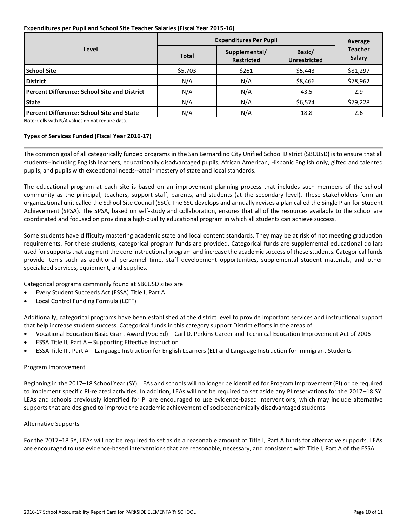#### **Expenditures per Pupil and School Site Teacher Salaries (Fiscal Year 2015-16)**

|                                                     | <b>Expenditures Per Pupil</b> | Average                            |                               |                          |  |
|-----------------------------------------------------|-------------------------------|------------------------------------|-------------------------------|--------------------------|--|
| Level                                               | <b>Total</b>                  | Supplemental/<br><b>Restricted</b> | Basic/<br><b>Unrestricted</b> | <b>Teacher</b><br>Salary |  |
| <b>School Site</b>                                  | \$5,703                       | \$261                              | \$5,443                       | \$81,297                 |  |
| <b>District</b>                                     | N/A                           | N/A                                | \$8,466                       | \$78,962                 |  |
| <b>Percent Difference: School Site and District</b> | N/A                           | N/A                                | $-43.5$                       | 2.9                      |  |
| <b>State</b>                                        | N/A                           | N/A                                | \$6,574                       | \$79,228                 |  |
| <b>Percent Difference: School Site and State</b>    | N/A                           | N/A                                | $-18.8$                       | 2.6                      |  |

Note: Cells with N/A values do not require data.

#### **Types of Services Funded (Fiscal Year 2016-17)**

The common goal of all categorically funded programs in the San Bernardino City Unified School District (SBCUSD) is to ensure that all students--including English learners, educationally disadvantaged pupils, African American, Hispanic English only, gifted and talented pupils, and pupils with exceptional needs--attain mastery of state and local standards.

The educational program at each site is based on an improvement planning process that includes such members of the school community as the principal, teachers, support staff, parents, and students (at the secondary level). These stakeholders form an organizational unit called the School Site Council (SSC). The SSC develops and annually revises a plan called the Single Plan for Student Achievement (SPSA). The SPSA, based on self-study and collaboration, ensures that all of the resources available to the school are coordinated and focused on providing a high-quality educational program in which all students can achieve success.

Some students have difficulty mastering academic state and local content standards. They may be at risk of not meeting graduation requirements. For these students, categorical program funds are provided. Categorical funds are supplemental educational dollars used for supports that augment the core instructional program and increase the academic success of these students. Categorical funds provide items such as additional personnel time, staff development opportunities, supplemental student materials, and other specialized services, equipment, and supplies.

Categorical programs commonly found at SBCUSD sites are:

- Every Student Succeeds Act (ESSA) Title I, Part A
- Local Control Funding Formula (LCFF)

Additionally, categorical programs have been established at the district level to provide important services and instructional support that help increase student success. Categorical funds in this category support District efforts in the areas of:

- Vocational Education Basic Grant Award (Voc Ed) Carl D. Perkins Career and Technical Education Improvement Act of 2006
- ESSA Title II, Part A Supporting Effective Instruction
- ESSA Title III, Part A Language Instruction for English Learners (EL) and Language Instruction for Immigrant Students

#### Program Improvement

Beginning in the 2017–18 School Year (SY), LEAs and schools will no longer be identified for Program Improvement (PI) or be required to implement specific PI-related activities. In addition, LEAs will not be required to set aside any PI reservations for the 2017–18 SY. LEAs and schools previously identified for PI are encouraged to use evidence-based interventions, which may include alternative supports that are designed to improve the academic achievement of socioeconomically disadvantaged students.

#### Alternative Supports

For the 2017–18 SY, LEAs will not be required to set aside a reasonable amount of Title I, Part A funds for alternative supports. LEAs are encouraged to use evidence-based interventions that are reasonable, necessary, and consistent with Title I, Part A of the ESSA.